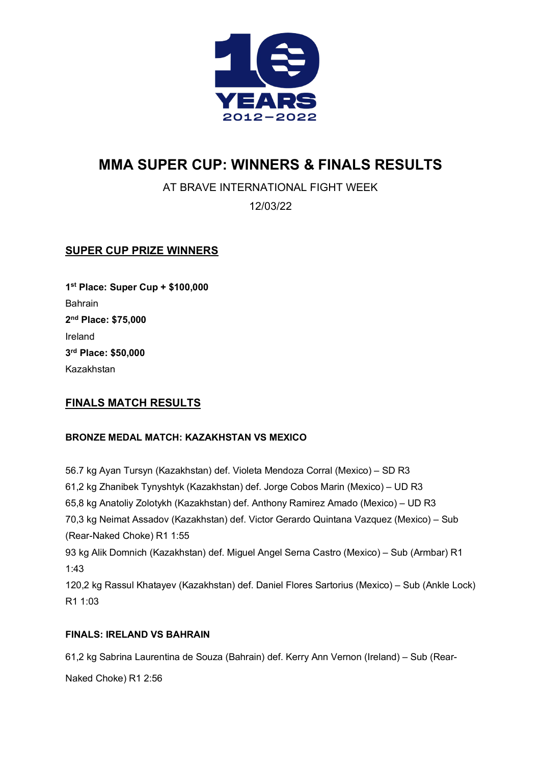

# **MMA SUPER CUP: WINNERS & FINALS RESULTS**

AT BRAVE INTERNATIONAL FIGHT WEEK

12/03/22

## **SUPER CUP PRIZE WINNERS**

**1st Place: Super Cup + \$100,000** Bahrain **2nd Place: \$75,000** Ireland **3rd Place: \$50,000** Kazakhstan

## **FINALS MATCH RESULTS**

### **BRONZE MEDAL MATCH: KAZAKHSTAN VS MEXICO**

56.7 kg Ayan Tursyn (Kazakhstan) def. Violeta Mendoza Corral (Mexico) – SD R3 61,2 kg Zhanibek Tynyshtyk (Kazakhstan) def. Jorge Cobos Marin (Mexico) – UD R3 65,8 kg Anatoliy Zolotykh (Kazakhstan) def. Anthony Ramirez Amado (Mexico) – UD R3 70,3 kg Neimat Assadov (Kazakhstan) def. Victor Gerardo Quintana Vazquez (Mexico) – Sub (Rear-Naked Choke) R1 1:55 93 kg Alik Domnich (Kazakhstan) def. Miguel Angel Serna Castro (Mexico) – Sub (Armbar) R1 1:43 120,2 kg Rassul Khatayev (Kazakhstan) def. Daniel Flores Sartorius (Mexico) – Sub (Ankle Lock) R1 1:03

### **FINALS: IRELAND VS BAHRAIN**

61,2 kg Sabrina Laurentina de Souza (Bahrain) def. Kerry Ann Vernon (Ireland) – Sub (Rear-

Naked Choke) R1 2:56